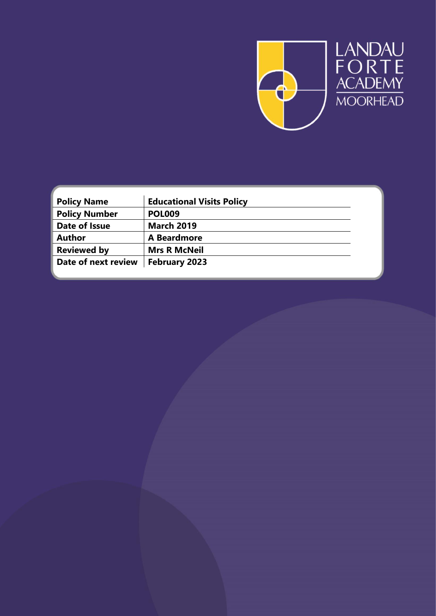

| <b>Policy Name</b>   | <b>Educational Visits Policy</b> |  |
|----------------------|----------------------------------|--|
| <b>Policy Number</b> | <b>POL009</b>                    |  |
| Date of Issue        | <b>March 2019</b>                |  |
| <b>Author</b>        | A Beardmore                      |  |
| <b>Reviewed by</b>   | <b>Mrs R McNeil</b>              |  |
| Date of next review  | February 2023                    |  |
|                      |                                  |  |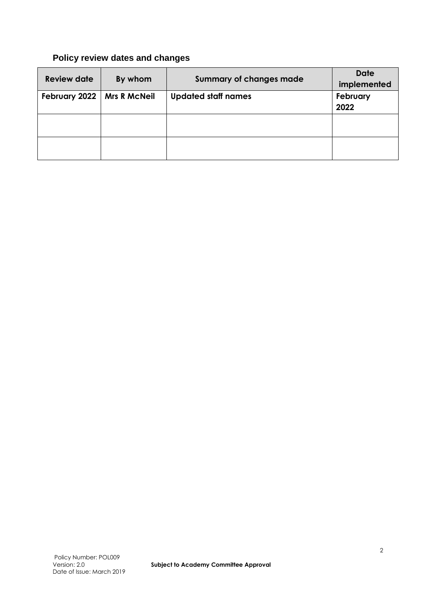# **Policy review dates and changes**

| <b>Review date</b> | By whom             | <b>Summary of changes made</b> | <b>Date</b><br>implemented |
|--------------------|---------------------|--------------------------------|----------------------------|
| February 2022      | <b>Mrs R McNeil</b> | <b>Updated staff names</b>     | February<br>2022           |
|                    |                     |                                |                            |
|                    |                     |                                |                            |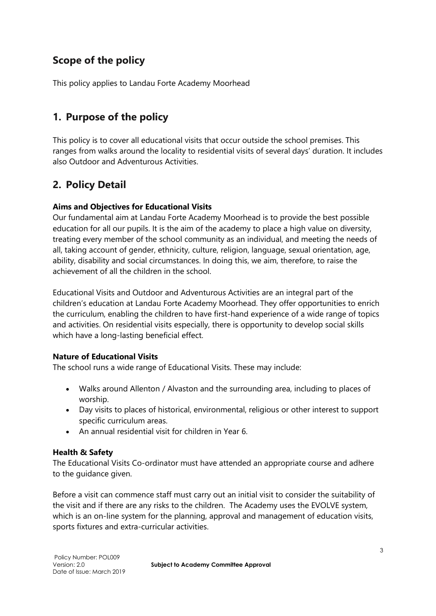# **Scope of the policy**

This policy applies to Landau Forte Academy Moorhead

## **1. Purpose of the policy**

This policy is to cover all educational visits that occur outside the school premises. This ranges from walks around the locality to residential visits of several days' duration. It includes also Outdoor and Adventurous Activities.

## **2. Policy Detail**

## **Aims and Objectives for Educational Visits**

Our fundamental aim at Landau Forte Academy Moorhead is to provide the best possible education for all our pupils. It is the aim of the academy to place a high value on diversity, treating every member of the school community as an individual, and meeting the needs of all, taking account of gender, ethnicity, culture, religion, language, sexual orientation, age, ability, disability and social circumstances. In doing this, we aim, therefore, to raise the achievement of all the children in the school.

Educational Visits and Outdoor and Adventurous Activities are an integral part of the children's education at Landau Forte Academy Moorhead. They offer opportunities to enrich the curriculum, enabling the children to have first-hand experience of a wide range of topics and activities. On residential visits especially, there is opportunity to develop social skills which have a long-lasting beneficial effect.

## **Nature of Educational Visits**

The school runs a wide range of Educational Visits. These may include:

- Walks around Allenton / Alvaston and the surrounding area, including to places of worship.
- Day visits to places of historical, environmental, religious or other interest to support specific curriculum areas.
- An annual residential visit for children in Year 6.

## **Health & Safety**

The Educational Visits Co-ordinator must have attended an appropriate course and adhere to the guidance given.

Before a visit can commence staff must carry out an initial visit to consider the suitability of the visit and if there are any risks to the children. The Academy uses the EVOLVE system, which is an on-line system for the planning, approval and management of education visits, sports fixtures and extra-curricular activities.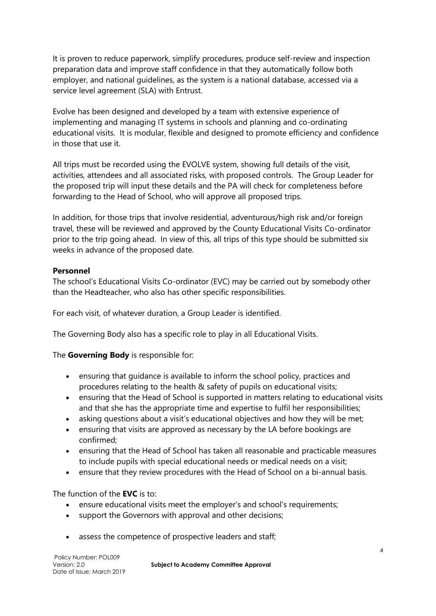It is proven to reduce paperwork, simplify procedures, produce self-review and inspection preparation data and improve staff confidence in that they automatically follow both employer, and national guidelines, as the system is a national database, accessed via a service level agreement (SLA) with Entrust.

Evolve has been designed and developed by a team with extensive experience of implementing and managing IT systems in schools and planning and co-ordinating educational visits. It is modular, flexible and designed to promote efficiency and confidence in those that use it.

All trips must be recorded using the EVOLVE system, showing full details of the visit, activities, attendees and all associated risks, with proposed controls. The Group Leader for the proposed trip will input these details and the PA will check for completeness before forwarding to the Head of School, who will approve all proposed trips.

In addition, for those trips that involve residential, adventurous/high risk and/or foreign travel, these will be reviewed and approved by the County Educational Visits Co-ordinator prior to the trip going ahead. In view of this, all trips of this type should be submitted six weeks in advance of the proposed date.

#### **Personnel**

The school's Educational Visits Co-ordinator (EVC) may be carried out by somebody other than the Headteacher, who also has other specific responsibilities.

For each visit, of whatever duration, a Group Leader is identified.

The Governing Body also has a specific role to play in all Educational Visits.

## The **Governing Body** is responsible for:

- ensuring that guidance is available to inform the school policy, practices and procedures relating to the health & safety of pupils on educational visits;
- ensuring that the Head of School is supported in matters relating to educational visits and that she has the appropriate time and expertise to fulfil her responsibilities;
- asking questions about a visit's educational objectives and how they will be met;
- ensuring that visits are approved as necessary by the LA before bookings are confirmed;
- ensuring that the Head of School has taken all reasonable and practicable measures to include pupils with special educational needs or medical needs on a visit;
- ensure that they review procedures with the Head of School on a bi-annual basis.

## The function of the **EVC** is to:

- ensure educational visits meet the employer's and school's requirements;
- support the Governors with approval and other decisions;
- assess the competence of prospective leaders and staff;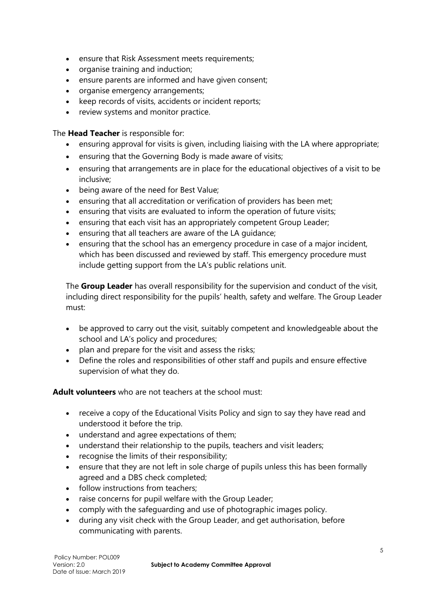- ensure that Risk Assessment meets requirements;
- organise training and induction;
- ensure parents are informed and have given consent;
- organise emergency arrangements;
- keep records of visits, accidents or incident reports;
- review systems and monitor practice.

The **Head Teacher** is responsible for:

- ensuring approval for visits is given, including liaising with the LA where appropriate;
- ensuring that the Governing Body is made aware of visits;
- ensuring that arrangements are in place for the educational objectives of a visit to be inclusive;
- being aware of the need for Best Value;
- ensuring that all accreditation or verification of providers has been met;
- ensuring that visits are evaluated to inform the operation of future visits;
- ensuring that each visit has an appropriately competent Group Leader;
- ensuring that all teachers are aware of the LA guidance;
- ensuring that the school has an emergency procedure in case of a major incident, which has been discussed and reviewed by staff. This emergency procedure must include getting support from the LA's public relations unit.

The **Group Leader** has overall responsibility for the supervision and conduct of the visit, including direct responsibility for the pupils' health, safety and welfare. The Group Leader must:

- be approved to carry out the visit, suitably competent and knowledgeable about the school and LA's policy and procedures;
- plan and prepare for the visit and assess the risks;
- Define the roles and responsibilities of other staff and pupils and ensure effective supervision of what they do.

**Adult volunteers** who are not teachers at the school must:

- receive a copy of the Educational Visits Policy and sign to say they have read and understood it before the trip.
- understand and agree expectations of them;
- understand their relationship to the pupils, teachers and visit leaders;
- recognise the limits of their responsibility;
- ensure that they are not left in sole charge of pupils unless this has been formally agreed and a DBS check completed;
- follow instructions from teachers:
- raise concerns for pupil welfare with the Group Leader;
- comply with the safeguarding and use of photographic images policy.
- during any visit check with the Group Leader, and get authorisation, before communicating with parents.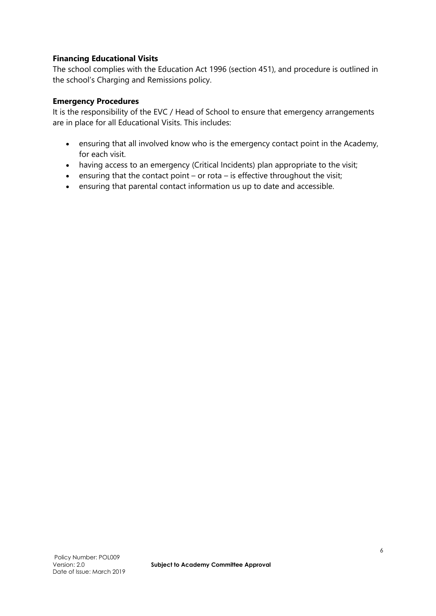#### **Financing Educational Visits**

The school complies with the Education Act 1996 (section 451), and procedure is outlined in the school's Charging and Remissions policy.

#### **Emergency Procedures**

It is the responsibility of the EVC / Head of School to ensure that emergency arrangements are in place for all Educational Visits. This includes:

- ensuring that all involved know who is the emergency contact point in the Academy, for each visit.
- having access to an emergency (Critical Incidents) plan appropriate to the visit;
- ensuring that the contact point or rota is effective throughout the visit;
- ensuring that parental contact information us up to date and accessible.